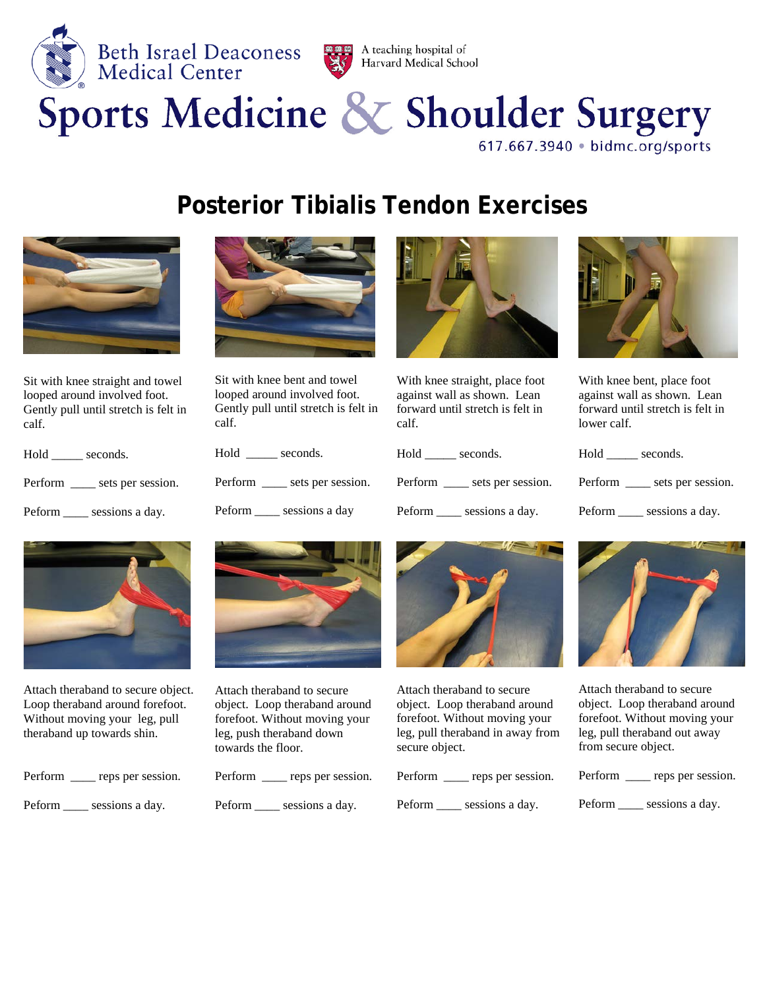

Harvard Medical School

## Sports Medicine & Shoulder Surgery 617.667.3940 · bidmc.org/sports

## **Posterior Tibialis Tendon Exercises**



Sit with knee straight and towel looped around involved foot. Gently pull until stretch is felt in calf.

Hold \_\_\_\_\_ seconds. Perform \_\_\_\_\_ sets per session.

Peform \_\_\_\_\_ sessions a day.



Sit with knee bent and towel looped around involved foot. Gently pull until stretch is felt in calf.

| Hold    | seconds.          |
|---------|-------------------|
| Perform | sets per session. |

Peform sessions a day



With knee straight, place foot against wall as shown. Lean forward until stretch is felt in calf.

Hold \_\_\_\_\_\_ seconds.

Perform \_\_\_\_\_ sets per session.

Peform \_\_\_\_\_ sessions a day.



With knee bent, place foot against wall as shown. Lean forward until stretch is felt in lower calf.

Hold \_\_\_\_\_ seconds.

Perform \_\_\_\_ sets per session.

Peform \_\_\_\_\_ sessions a day.



Attach theraband to secure object. Loop theraband around forefoot. Without moving your leg, pull theraband up towards shin.

| Perform | reps per session. |
|---------|-------------------|
| Peform  | sessions a day.   |



Attach theraband to secure object. Loop theraband around forefoot. Without moving your leg, push theraband down towards the floor.

| Perform | reps per session. |
|---------|-------------------|
| Peform  | sessions a day.   |



Attach theraband to secure object. Loop theraband around forefoot. Without moving your leg, pull theraband in away from secure object.

| Perform | reps per session. |
|---------|-------------------|
| Peform  | sessions a day.   |



Attach theraband to secure object. Loop theraband around forefoot. Without moving your leg, pull theraband out away from secure object.

| Perform | reps per session. |
|---------|-------------------|
| Peform  | sessions a day.   |